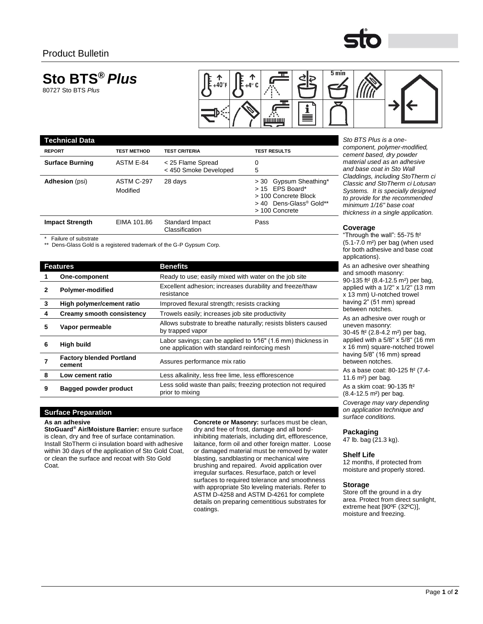80727 Sto BTS *Plus*

**Sto BTS®** *Plus*



# 5 min i ≡ www.

| <b>Technical Data</b>  | Sto BTS Plus is a one- |                                            |                                                                                                                |                                                                                                                                                                                                                                                                |
|------------------------|------------------------|--------------------------------------------|----------------------------------------------------------------------------------------------------------------|----------------------------------------------------------------------------------------------------------------------------------------------------------------------------------------------------------------------------------------------------------------|
| <b>REPORT</b>          | <b>TEST METHOD</b>     | <b>TEST CRITERIA</b>                       | <b>TEST RESULTS</b>                                                                                            | component, polymer-modified,<br>cement based, dry powder                                                                                                                                                                                                       |
| <b>Surface Burning</b> | ASTM E-84              | < 25 Flame Spread<br>< 450 Smoke Developed | 0<br>5                                                                                                         | material used as an adhesive<br>and base coat in Sto Wall<br>Claddings, including StoThern<br>Classic and StoTherm ci Lotus<br>Systems. It is specially design<br>to provide for the recommende<br>minimum 1/16" base coat<br>thickness in a single applicatio |
| Adhesion (psi)         | ASTM C-297<br>Modified | 28 days                                    | > 30 Gypsum Sheathing*<br>> 15 EPS Board*<br>> 100 Concrete Block<br>> 40 Dens-Glass® Gold**<br>> 100 Concrete |                                                                                                                                                                                                                                                                |
| <b>Impact Strength</b> | EIMA 101.86            | Standard Impact<br>Classification          | Pass                                                                                                           | Coverage                                                                                                                                                                                                                                                       |

*material used as an adhesive and base coat in Sto Wall Claddings, including StoTherm ci Classic and StoTherm ci Lotusan Systems. It is specially designed to provide for the recommended minimum 1/16" base coat thickness in a single application.*

Failure of substrate

\*\* Dens-Glass Gold is a registered trademark of the G-P Gypsum Corp.

| <b>Features</b> |                                           | <b>Benefits</b>                                                                                                   |  |  |
|-----------------|-------------------------------------------|-------------------------------------------------------------------------------------------------------------------|--|--|
|                 | <b>One-component</b>                      | Ready to use; easily mixed with water on the job site                                                             |  |  |
| $\mathbf{2}$    | Polymer-modified                          | Excellent adhesion; increases durability and freeze/thaw<br>resistance                                            |  |  |
| 3               | High polymer/cement ratio                 | Improved flexural strength; resists cracking                                                                      |  |  |
| 4               | Creamy smooth consistency                 | Trowels easily; increases job site productivity                                                                   |  |  |
| 5               | Vapor permeable                           | Allows substrate to breathe naturally; resists blisters caused<br>by trapped vapor                                |  |  |
| 6               | <b>High build</b>                         | Labor savings; can be applied to $1/16$ " (1.6 mm) thickness in<br>one application with standard reinforcing mesh |  |  |
| 7               | <b>Factory blended Portland</b><br>cement | Assures performance mix ratio                                                                                     |  |  |
| 8               | Low cement ratio                          | Less alkalinity, less free lime, less efflorescence                                                               |  |  |
| 9               | <b>Bagged powder product</b>              | Less solid waste than pails; freezing protection not required<br>prior to mixing                                  |  |  |
|                 |                                           |                                                                                                                   |  |  |

# **Surface Preparation**

### **As an adhesive**

**StoGuard® Air/Moisture Barrier:** ensure surface is clean, dry and free of surface contamination. Install StoTherm ci insulation board with adhesive within 30 days of the application of Sto Gold Coat, or clean the surface and recoat with Sto Gold Coat.

**Concrete or Masonry:** surfaces must be clean, dry and free of frost, damage and all bondinhibiting materials, including dirt, efflorescence, laitance, form oil and other foreign matter. Loose or damaged material must be removed by water blasting, sandblasting or mechanical wire brushing and repaired. Avoid application over irregular surfaces. Resurface, patch or level surfaces to required tolerance and smoothness with appropriate Sto leveling materials. Refer to ASTM D-4258 and ASTM D-4261 for complete details on preparing cementitious substrates for coatings.

# **Coverage**

"Through the wall": 55-75 ft² (5.1-7.0 m²) per bag (when used for both adhesive and base coat applications).

As an adhesive over sheathing and smooth masonry: 90-135 ft² (8.4-12.5 m²) per bag, applied with a  $1/2$ " x  $1/2$ " (13 mm x 13 mm) U-notched trowel having 2" (51 mm) spread - between notches.

As an adhesive over rough or uneven masonry: 30-45 ft² (2.8-4.2 m²) per bag, applied with a  $5/8$ "  $\times$   $5/8$ " (16 mm x 16 mm) square-notched trowel having 5/8" (16 mm) spread between notches.

As a base coat: 80-125 ft² (7.4-  $\frac{1}{2}$  11.6 m<sup>2</sup>) per bag.

As a skim coat: 90-135 ft² (8.4-12.5 m²) per bag.

*Coverage may vary depending on application technique and surface conditions.*

# **Packaging**

47 lb. bag (21.3 kg).

### **Shelf Life**

12 months, if protected from moisture and properly stored.

## **Storage**

Store off the ground in a dry area. Protect from direct sunlight, extreme heat [90ºF (32ºC)], moisture and freezing.